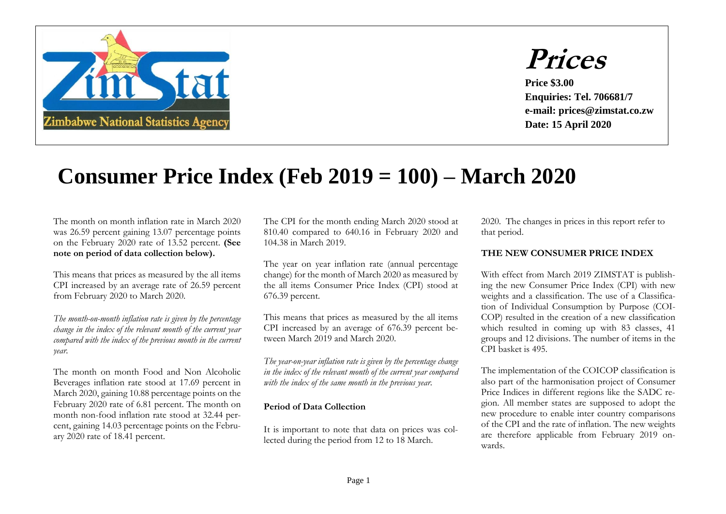



**Price \$3.00 Enquiries: Tel. 706681/7 e-mail: prices@zimstat.co.zw Date: 15 April 2020**

## **Consumer Price Index (Feb 2019 = 100) – March 2020**

The month on month inflation rate in March 2020 was 26.59 percent gaining 13.07 percentage points on the February 2020 rate of 13.52 percent. **(See note on period of data collection below).**

This means that prices as measured by the all items CPI increased by an average rate of 26.59 percent from February 2020 to March 2020.

 *The month-on-month inflation rate is given by the percentage change in the index of the relevant month of the current year compared with the index of the previous month in the current year.*

The month on month Food and Non Alcoholic Beverages inflation rate stood at 17.69 percent in March 2020, gaining 10.88 percentage points on the February 2020 rate of 6.81 percent. The month on month non-food inflation rate stood at 32.44 percent, gaining 14.03 percentage points on the February 2020 rate of 18.41 percent.

The CPI for the month ending March 2020 stood at 810.40 compared to 640.16 in February 2020 and 104.38 in March 2019.

The year on year inflation rate (annual percentage change) for the month of March 2020 as measured by the all items Consumer Price Index (CPI) stood at 676.39 percent.

This means that prices as measured by the all items CPI increased by an average of 676.39 percent between March 2019 and March 2020.

 *The year-on-year inflation rate is given by the percentage change in the index of the relevant month of the current year compared with the index of the same month in the previous year.* 

## **Period of Data Collection**

It is important to note that data on prices was collected during the period from 12 to 18 March.

2020. The changes in prices in this report refer to that period.

## **THE NEW CONSUMER PRICE INDEX**

With effect from March 2019 ZIMSTAT is publishing the new Consumer Price Index (CPI) with new weights and a classification. The use of a Classification of Individual Consumption by Purpose (COI-COP) resulted in the creation of a new classification which resulted in coming up with 83 classes, 41 groups and 12 divisions. The number of items in the CPI basket is 495.

The implementation of the COICOP classification is also part of the harmonisation project of Consumer Price Indices in different regions like the SADC region. All member states are supposed to adopt the new procedure to enable inter country comparisons of the CPI and the rate of inflation. The new weights are therefore applicable from February 2019 onwards.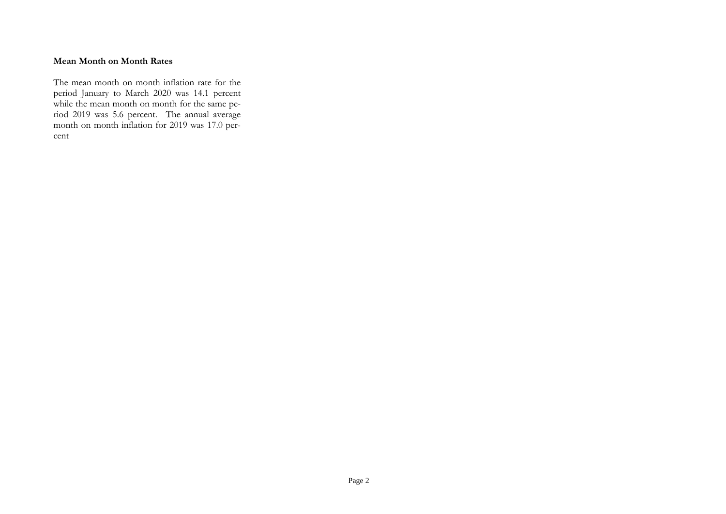## **Mean Month on Month Rates**

The mean month on month inflation rate for the period January to March 2020 was 14.1 percent while the mean month on month for the same period 2019 was 5.6 percent. The annual average month on month inflation for 2019 was 17.0 percent